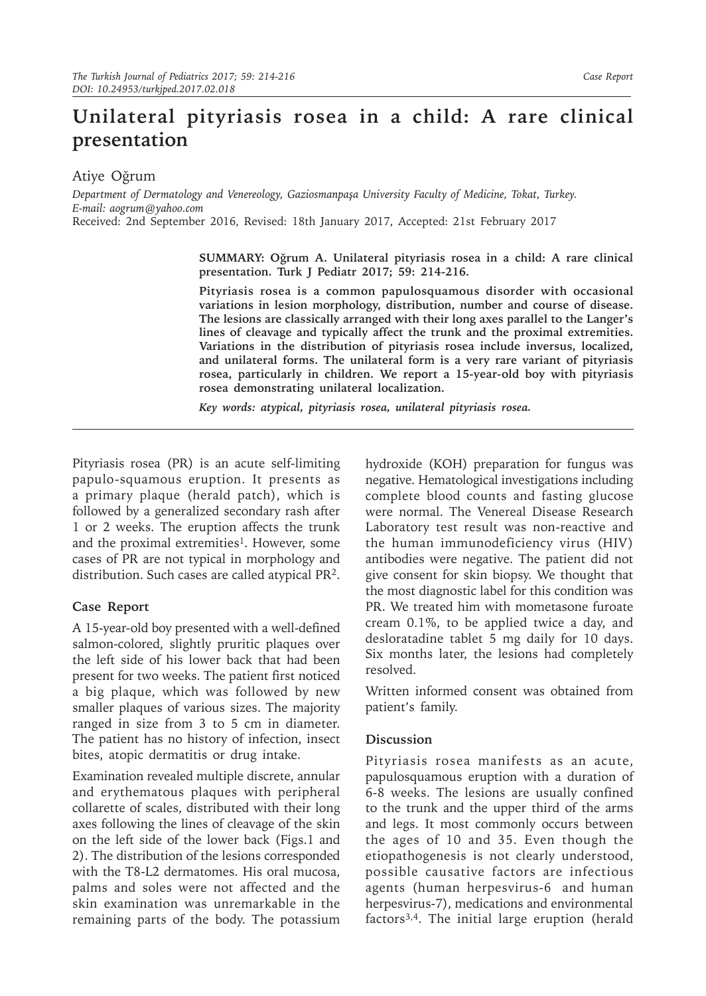## **Unilateral pityriasis rosea in a child: A rare clinical presentation**

Atiye Oğrum

*Department of Dermatology and Venereology, Gaziosmanpaşa University Faculty of Medicine, Tokat, Turkey. E-mail: aogrum@yahoo.com*

Received: 2nd September 2016, Revised: 18th January 2017, Accepted: 21st February 2017

**SUMMARY: Oğrum A. Unilateral pityriasis rosea in a child: A rare clinical presentation. Turk J Pediatr 2017; 59: 214-216.**

**Pityriasis rosea is a common papulosquamous disorder with occasional variations in lesion morphology, distribution, number and course of disease. The lesions are classically arranged with their long axes parallel to the Langer's lines of cleavage and typically affect the trunk and the proximal extremities. Variations in the distribution of pityriasis rosea include inversus, localized, and unilateral forms. The unilateral form is a very rare variant of pityriasis rosea, particularly in children. We report a 15-year-old boy with pityriasis rosea demonstrating unilateral localization.**

*Key words: atypical, pityriasis rosea, unilateral pityriasis rosea.*

Pityriasis rosea (PR) is an acute self-limiting papulo-squamous eruption. It presents as a primary plaque (herald patch), which is followed by a generalized secondary rash after 1 or 2 weeks. The eruption affects the trunk and the proximal extremities<sup>1</sup>. However, some cases of PR are not typical in morphology and distribution. Such cases are called atypical PR2.

## **Case Report**

A 15-year-old boy presented with a well-defined salmon-colored, slightly pruritic plaques over the left side of his lower back that had been present for two weeks. The patient first noticed a big plaque, which was followed by new smaller plaques of various sizes. The majority ranged in size from 3 to 5 cm in diameter. The patient has no history of infection, insect bites, atopic dermatitis or drug intake.

Examination revealed multiple discrete, annular and erythematous plaques with peripheral collarette of scales, distributed with their long axes following the lines of cleavage of the skin on the left side of the lower back (Figs.1 and 2). The distribution of the lesions corresponded with the T8-L2 dermatomes. His oral mucosa, palms and soles were not affected and the skin examination was unremarkable in the remaining parts of the body. The potassium

hydroxide (KOH) preparation for fungus was negative. Hematological investigations including complete blood counts and fasting glucose were normal. The Venereal Disease Research Laboratory test result was non-reactive and the human immunodeficiency virus (HIV) antibodies were negative. The patient did not give consent for skin biopsy. We thought that the most diagnostic label for this condition was PR. We treated him with mometasone furoate cream 0.1%, to be applied twice a day, and desloratadine tablet 5 mg daily for 10 days. Six months later, the lesions had completely resolved.

Written informed consent was obtained from patient's family.

## **Discussion**

Pityriasis rosea manifests as an acute, papulosquamous eruption with a duration of 6-8 weeks. The lesions are usually confined to the trunk and the upper third of the arms and legs. It most commonly occurs between the ages of 10 and 35. Even though the etiopathogenesis is not clearly understood, possible causative factors are infectious agents (human herpesvirus-6 and human herpesvirus-7), medications and environmental factors3,4. The initial large eruption (herald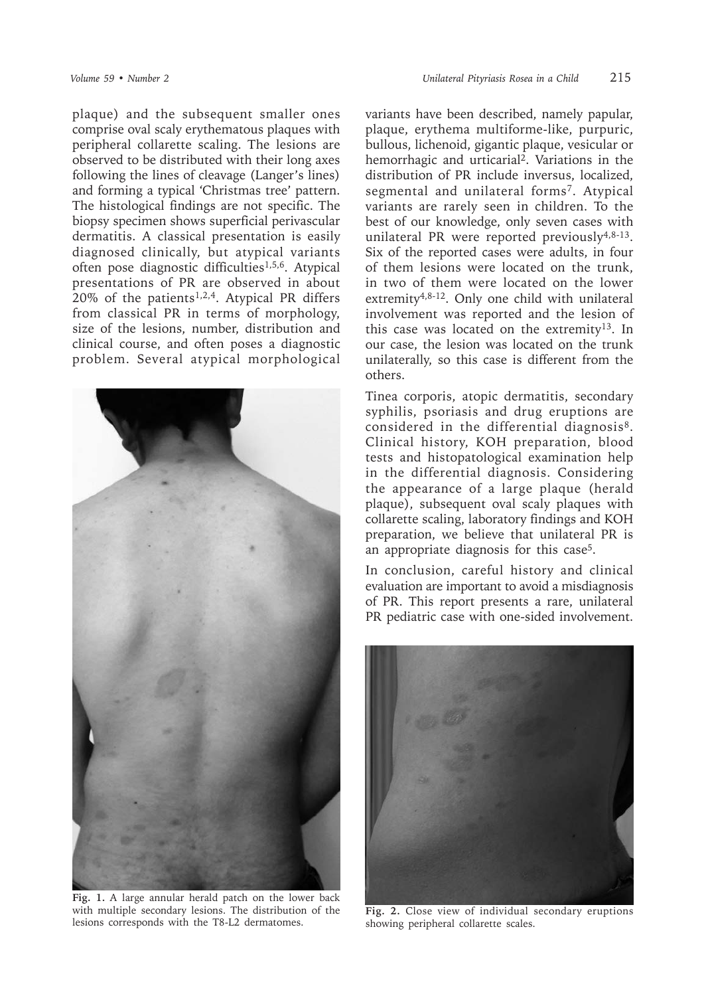plaque) and the subsequent smaller ones comprise oval scaly erythematous plaques with peripheral collarette scaling. The lesions are observed to be distributed with their long axes following the lines of cleavage (Langer's lines) and forming a typical 'Christmas tree' pattern. The histological findings are not specific. The biopsy specimen shows superficial perivascular dermatitis. A classical presentation is easily diagnosed clinically, but atypical variants often pose diagnostic difficulties<sup>1,5,6</sup>. Atypical presentations of PR are observed in about  $20\%$  of the patients<sup>1,2,4</sup>. Atypical PR differs from classical PR in terms of morphology, size of the lesions, number, distribution and clinical course, and often poses a diagnostic problem. Several atypical morphological



**Fig. 1.** A large annular herald patch on the lower back with multiple secondary lesions. The distribution of the lesions corresponds with the T8-L2 dermatomes.

variants have been described, namely papular, plaque, erythema multiforme-like, purpuric, bullous, lichenoid, gigantic plaque, vesicular or hemorrhagic and urticarial2. Variations in the distribution of PR include inversus, localized, segmental and unilateral forms7. Atypical variants are rarely seen in children. To the best of our knowledge, only seven cases with unilateral PR were reported previously<sup>4,8-13</sup>. Six of the reported cases were adults, in four of them lesions were located on the trunk, in two of them were located on the lower extremity4,8-12. Only one child with unilateral involvement was reported and the lesion of this case was located on the extremity<sup>13</sup>. In our case, the lesion was located on the trunk unilaterally, so this case is different from the others.

Tinea corporis, atopic dermatitis, secondary syphilis, psoriasis and drug eruptions are considered in the differential diagnosis8. Clinical history, KOH preparation, blood tests and histopatological examination help in the differential diagnosis. Considering the appearance of a large plaque (herald plaque), subsequent oval scaly plaques with collarette scaling, laboratory findings and KOH preparation, we believe that unilateral PR is an appropriate diagnosis for this case<sup>5</sup>.

In conclusion, careful history and clinical evaluation are important to avoid a misdiagnosis of PR. This report presents a rare, unilateral PR pediatric case with one-sided involvement.



**Fig. 2.** Close view of individual secondary eruptions showing peripheral collarette scales.